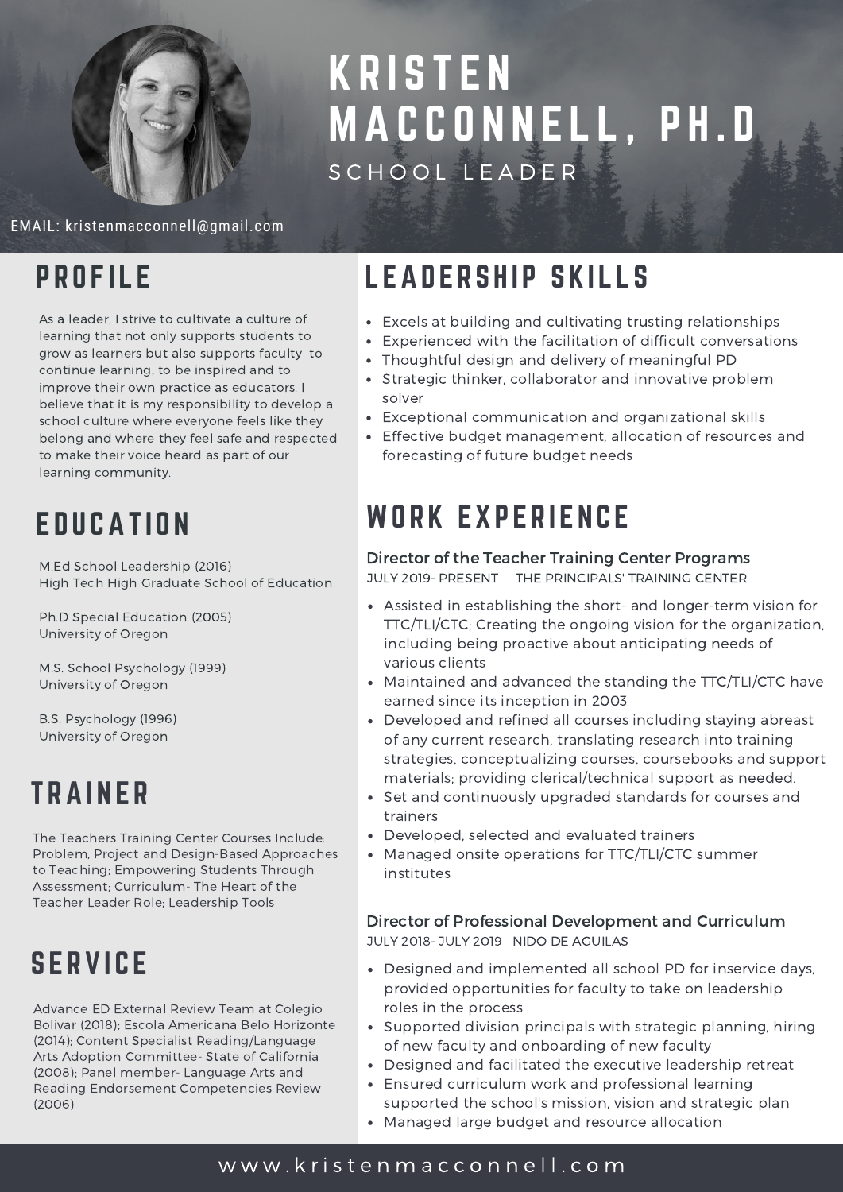

# **KRISTEN** MA C C O N N E L L , P H . D S C H O O L L E A D E R

EMAIL: kristenmacconnell@gmail.com

### **PROFILE**

As a leader, I strive to cultivate a culture of learning that not only supports students to grow as learners but also supports faculty to continue learning, to be inspired and to improve their own practice as educators. I believe that it is my responsibility to develop a school culture where everyone feels like they belong and where they feel safe and respected to make their voice heard as part of our learning community.

# **EDUCATION**

M.Ed School Leadership (2016) High Tech High Graduate School of Education

Ph.D Special Education (2005) University of Oregon

M.S. School Psychology (1999) University of Oregon

B.S. Psychology (1996) University of Oregon

# **TRAINER**

The Teachers Training Center Courses Include: Problem, Project and Design-Based Approaches to Teaching; Empowering Students Through Assessment; Curriculum- The Heart of the Teacher Leader Role; Leadership Tools

## **SERVICE**

Advance ED External Review Team at Colegio Bolivar (2018); Escola Americana Belo Horizonte (2014); Content Specialist Reading/Language Arts Adoption Committee- State of California (2008); Panel member- Language Arts and Reading Endorsement Competencies Review (2006)

## LEADERSHIP SKILLS

- Excels at building and cultivating trusting relationships
- Experienced with the facilitation of difficult conversations
- Thoughtful design and delivery of meaningful PD
- Strategic thinker, collaborator and innovative problem solver
- Exceptional communication and organizational skills
- Effective budget management, allocation of resources and forecasting of future budget needs

## WORK EXPERIENCE

### Director of the Teacher Training Center Programs

JULY 2019- PRESENT THE PRINCIPALS' TRAINING CENTER

- Assisted in establishing the short- and longer-term vision for TTC/TLI/CTC; Creating the ongoing vision for the organization, including being proactive about anticipating needs of various clients
- Maintained and advanced the standing the TTC/TLI/CTC have earned since its inception in 2003
- Developed and refined all courses including staying abreast of any current research, translating research into training strategies, conceptualizing courses, coursebooks and support materials; providing clerical/technical support as needed.
- Set and continuously upgraded standards for courses and trainers
- Developed, selected and evaluated trainers
- Managed onsite operations for TTC/TLI/CTC summer institutes

### Director of Professional Development and Curriculum

JULY 2018- JULY 2019 NIDO DE AGUILAS

- Designed and implemented all school PD for inservice days, provided opportunities for faculty to take on leadership roles in the process
- Supported division principals with strategic planning, hiring of new faculty and onboarding of new faculty
- Designed and facilitated the executive leadership retreat
- Ensured curriculum work and professional learning
- supported the school's mission, vision and strategic plan
- Managed large budget and resource allocation

### w w w . k r i s t e n [m](https://www.kristenmacconnell.com/) a c c o n n e l l . c o m